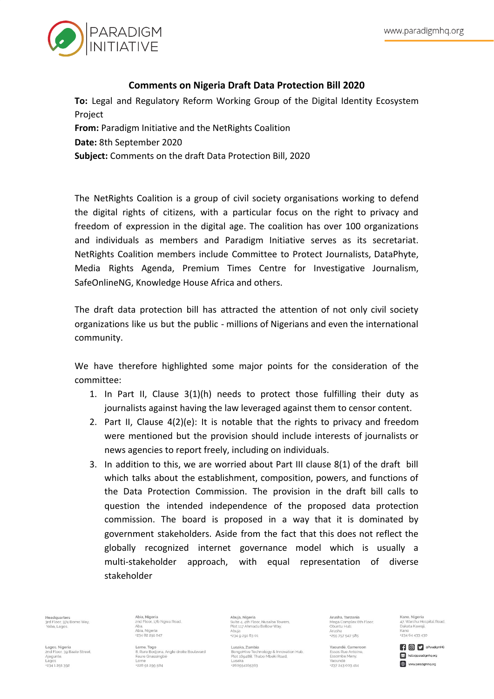

## **Comments on Nigeria Draft Data Protection Bill 2020**

**To:** Legal and Regulatory Reform Working Group of the Digital Identity Ecosystem Project

**From:** Paradigm Initiative and the NetRights Coalition

**Date:** 8th September 2020

**Subject:** Comments on the draft Data Protection Bill, 2020

The NetRights Coalition is a group of civil society organisations working to defend the digital rights of citizens, with a particular focus on the right to privacy and freedom of expression in the digital age. The coalition has over 100 organizations and individuals as members and Paradigm Initiative serves as its secretariat. NetRights Coalition members include Committee to Protect Journalists, DataPhyte, Media Rights Agenda, Premium Times Centre for Investigative Journalism, SafeOnlineNG, Knowledge House Africa and others.

The draft data protection bill has attracted the attention of not only civil society organizations like us but the public - millions of Nigerians and even the international community.

We have therefore highlighted some major points for the consideration of the committee:

- 1. In Part II, Clause 3(1)(h) needs to protect those fulfilling their duty as journalists against having the law leveraged against them to censor content.
- 2. Part II, Clause 4(2)(e): It is notable that the rights to privacy and freedom were mentioned but the provision should include interests of journalists or news agencies to report freely, including on individuals.
- 3. In addition to this, we are worried about Part III clause 8(1) of the draft bill which talks about the establishment, composition, powers, and functions of the Data Protection Commission. The provision in the draft bill calls to question the intended independence of the proposed data protection commission. The board is proposed in a way that it is dominated by government stakeholders. Aside from the fact that this does not reflect the globally recognized internet governance model which is usually a multi-stakeholder approach, with equal representation of diverse stakeholder

a**dquarters**<br>Floor, 374 Borno Way,<br>pa, Lagos.

Lagos, Nigeria ugos, rugena<br>nd Floor, 39 Baale Street,

1234 1 2 9 1 3 9 2

Aiequnle.

Abia, Nigeria<br>2nd Floor, 17b Ngwa Road, Aba.<br>Abia, Nigeria +234 82 201 047

8. Rure Bodiona, Angle droite Boulevard Faure Gnassingbe \*228 g1 2gg 584

Abuja, Nigeria<br>Suite 4, 4th Floor, Nusaiba Towers,<br>Plot 117 Ahmadu Bellow Way,<br>Abuja  $+23492016301$ 

Lusaka Zambia ongoHive Technology & Innovation Hub. Plot 16048B. Thabo Mbeki Road Lusaka -260954165363

Aricha Tanzania Arusha, Tanzania<br>Mega Complex 6th Floor,<br>Obuntu Hub,<br>Arusha +255 757 547 585

Yaoundé, Cameroon Essos Rue Antoine,<br>Essomba Many, Yaounde \*237 243 003 414

Kano Nigeria ..<br>Iospital Road Dakata Kawaji  $+23464433430$ 

**COD** SParadigmHO hello@paradigmhq.org www.paradigmhq.org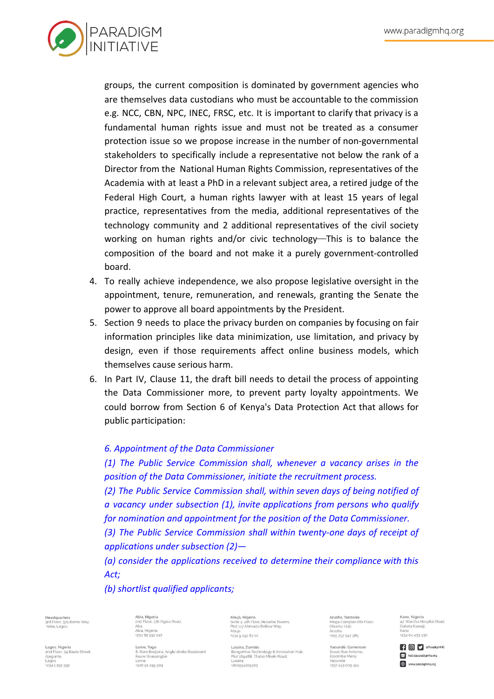

groups, the current composition is dominated by government agencies who are themselves data custodians who must be accountable to the commission e.g. NCC, CBN, NPC, INEC, FRSC, etc. It is important to clarify that privacy is a fundamental human rights issue and must not be treated as a consumer protection issue so we propose increase in the number of non-governmental stakeholders to specifically include a representative not below the rank of a Director from the National Human Rights Commission, representatives of the Academia with at least a PhD in a relevant subject area, a retired judge of the Federal High Court, a human rights lawyer with at least 15 years of legal practice, representatives from the media, additional representatives of the technology community and 2 additional representatives of the civil society working on human rights and/or civic technology—This is to balance the composition of the board and not make it a purely government-controlled board.

- 4. To really achieve independence, we also propose legislative oversight in the appointment, tenure, remuneration, and renewals, granting the Senate the power to approve all board appointments by the President.
- 5. Section 9 needs to place the privacy burden on companies by focusing on fair information principles like data minimization, use limitation, and privacy by design, even if those requirements affect online business models, which themselves cause serious harm.
- 6. In Part IV, Clause 11, the draft bill needs to detail the process of appointing the Data Commissioner more, to prevent party loyalty appointments. We could borrow from Section 6 of Kenya's Data Protection Act that allows for public participation:

## *6. Appointment of the Data Commissioner*

*(1) The Public Service Commission shall, whenever a vacancy arises in the position of the Data Commissioner, initiate the recruitment process.*

*(2) The Public Service Commission shall, within seven days of being notified of a vacancy under subsection (1), invite applications from persons who qualify for nomination and appointment for the position of the Data Commissioner.*

*(3) The Public Service Commission shall within twenty-one days of receipt of applications under subsection (2)—*

*(a) consider the applications received to determine their compliance with this Act;*

*(b) shortlist qualified applicants;*

**eadquarters**<br>rd Floor, 374 Borno Way,<br>'aba, Lagos.

Lagos, Nigeria ugos, rugena<br>nd Floor, 39 Baale Street,

1234 1 2 9 1 3 9 2

Aiequnle.

Abia, Nigeria<br>2nd Floor, 17b Ngwa Road, Aba.<br>Abia, Nigeria +234 82 201 047

8. Rure Bodiona, Angle droite Boulevard Faure Gnassingbe \*228 g1 2gg 584

Abuja, Nigeria<br>Suite 4, 4th Floor, Nusaiba Towers,<br>Plot 117 Ahmadu Bellow Way,<br>Abuja +234 9 291 63 01

Lusaka Zambia naoHive Technology & Innovation Hub. Plot 16048B. Thabo Mbeki Road -260954165363

Aricha Tanzania Arusha, Tanzania<br>Mega Complex 6th Floor,<br>Obuntu Hub,<br>Arusha +255 757 547 585

Yaoundé, Cameroon Essos Rue Antoine,<br>Essomba Many, Yaoundé \*237 243 003 414

Kano Nigeria ..<br>Iospital Road Dakata Kawaji  $+23464433430$ 

**COD** SParadigmHO hello@paradigmhq.org www.paradigmhq.org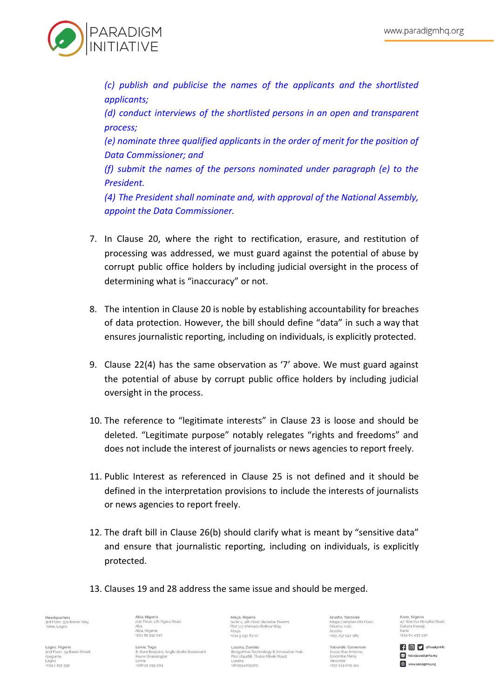

*(c) publish and publicise the names of the applicants and the shortlisted applicants;*

*(d) conduct interviews of the shortlisted persons in an open and transparent process;*

*(e) nominate three qualified applicants in the order of merit for the position of Data Commissioner; and*

*(f) submit the names of the persons nominated under paragraph (e) to the President.*

*(4) The President shall nominate and, with approval of the National Assembly, appoint the Data Commissioner.*

- 7. In Clause 20, where the right to rectification, erasure, and restitution of processing was addressed, we must guard against the potential of abuse by corrupt public office holders by including judicial oversight in the process of determining what is "inaccuracy" or not.
- 8. The intention in Clause 20 is noble by establishing accountability for breaches of data protection. However, the bill should define "data" in such a way that ensures journalistic reporting, including on individuals, is explicitly protected.
- 9. Clause 22(4) has the same observation as '7' above. We must guard against the potential of abuse by corrupt public office holders by including judicial oversight in the process.
- 10. The reference to "legitimate interests" in Clause 23 is loose and should be deleted. "Legitimate purpose" notably relegates "rights and freedoms" and does not include the interest of journalists or news agencies to report freely.
- 11. Public Interest as referenced in Clause 25 is not defined and it should be defined in the interpretation provisions to include the interests of journalists or news agencies to report freely.
- 12. The draft bill in Clause 26(b) should clarify what is meant by "sensitive data" and ensure that journalistic reporting, including on individuals, is explicitly protected.
- 13. Clauses 19 and 28 address the same issue and should be merged.

**eadquarters**<br>rd Floor, 374 Borno Way,<br>'aba, Lagos.

agos, Nigeria ugos, rugena<br>nd Floor, 39 Baale Street,

1234 1 201 302

Aiequnle.

Abia, Nigeria<br>2nd Floor, 17b Ngwa Road, Aba.<br>Abia, Nigeria +234 82 201 047

8. Rure Bodiona. Angle droite Boulevard Faure Gnassingbe \*228 g1 2gg 584

Abuja, Nigeria<br>Suite 4, 4th Floor, Nusaiba Towers,<br>Plot 117 Ahmadu Bellow Way,<br>Abuja +234 9 291 63 01

Lusaka Zambia BongoHive Technology & Innovation Hub.<br>Plot 16948B, Thabo Mbeki Road, Lusaka -260954165363

ucha Tanzania Arusha, Tanzania<br>Mega Complex 6th Floor,<br>Obuntu Hub,<br>Arusha +255 757 547 585

Yaoundé, Cameroon Essos Rue Antoine,<br>Essomba Many, Yaoundé \*237 243 003 414

Kano Nigeria ..<br>Iospital Road Dakata Kawaji  $+23464433430$ 

**COD** SParadigmHO hello@paradigmhq.org www.paradigmhq.org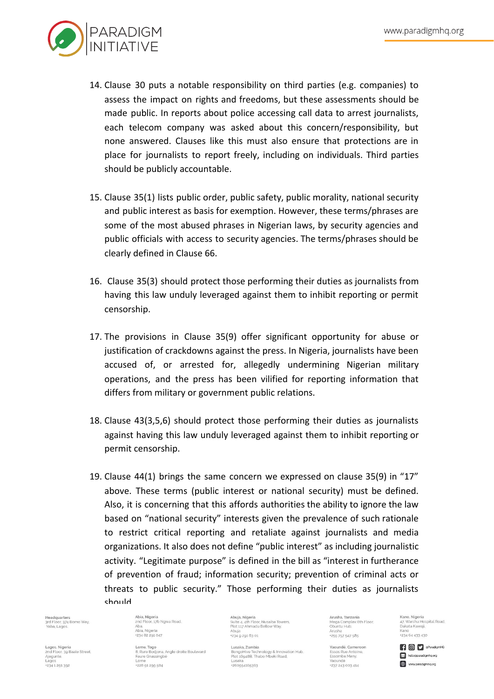

- 14. Clause 30 puts a notable responsibility on third parties (e.g. companies) to assess the impact on rights and freedoms, but these assessments should be made public. In reports about police accessing call data to arrest journalists, each telecom company was asked about this concern/responsibility, but none answered. Clauses like this must also ensure that protections are in place for journalists to report freely, including on individuals. Third parties should be publicly accountable.
- 15. Clause 35(1) lists public order, public safety, public morality, national security and public interest as basis for exemption. However, these terms/phrases are some of the most abused phrases in Nigerian laws, by security agencies and public officials with access to security agencies. The terms/phrases should be clearly defined in Clause 66.
- 16. Clause 35(3) should protect those performing their duties as journalists from having this law unduly leveraged against them to inhibit reporting or permit censorship.
- 17. The provisions in Clause 35(9) offer significant opportunity for abuse or justification of crackdowns against the press. In Nigeria, journalists have been accused of, or arrested for, allegedly undermining Nigerian military operations, and the press has been vilified for reporting information that differs from military or government public relations.
- 18. Clause 43(3,5,6) should protect those performing their duties as journalists against having this law unduly leveraged against them to inhibit reporting or permit censorship.
- 19. Clause 44(1) brings the same concern we expressed on clause 35(9) in "17" above. These terms (public interest or national security) must be defined. Also, it is concerning that this affords authorities the ability to ignore the law based on "national security" interests given the prevalence of such rationale to restrict critical reporting and retaliate against journalists and media organizations. It also does not define "public interest" as including journalistic activity. "Legitimate purpose" is defined in the bill as "interest in furtherance of prevention of fraud; information security; prevention of criminal acts or threats to public security." Those performing their duties as journalists should

ea<mark>dquarters</mark><br>d Floor, 374 Borno Way,<br>aba, Lagos.

Lagos, Nigeria agos, ragena<br>nd Floor, 39 Baale Street, Aiequnle. 1234 1 2 9 1 3 9 2

Abia, Nigeria<br>2nd Floor, 17b Ngwa Road, Aba.<br>Abia, Nigeria +234 82 201 047

8. Rure Bodiona, Angle droite Boulevard Faure Gnassingbe \*228 g1 2gg 584

Abuja, Nigeria<br>Suite 4, 4th Floor, Nusaiba Towers,<br>Plot 117 Ahmadu Bellow Way,<br>Abuja  $+23492916301$ 

Lusaka Zambia naoHive Technology & Innovation Hub. Plot 16048B. Thabo Mbeki Road -260954165363

Aricha Tanzania Arusha, Tanzania<br>Mega Complex 6th Floor,<br>Obuntu Hub,<br>Arusha +255 757 547 585

Yaoundé, Cameroon Essos Rue Antoine,<br>Essomba Many, Yaoundé \*237 243 003 414

Kano, Nigeria ..go....<br>shu Hospital Road, 47. warsnu no:<br>Dakata Kawaii.  $+23464433430$